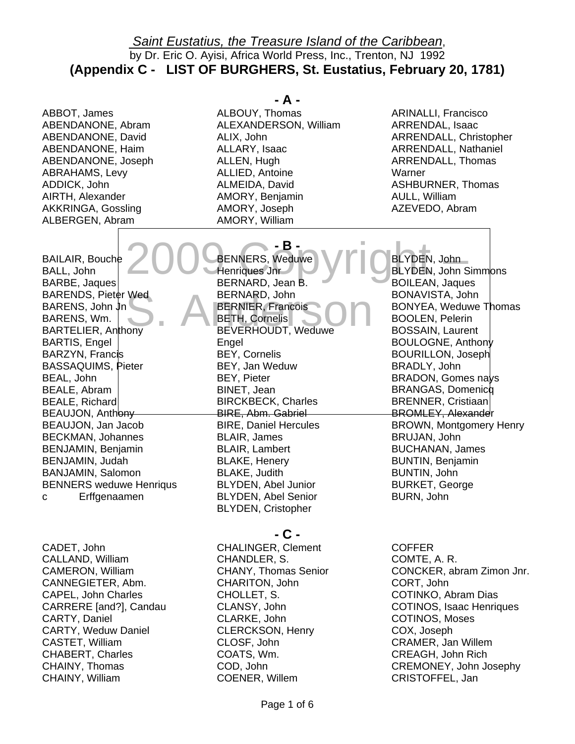ABBOT, James ABENDANONE, Abram ABENDANONE, David ABENDANONE, Haim ABENDANONE, Joseph ABRAHAMS, Levy ADDICK, John AIRTH, Alexander AKKRINGA, Gossling ALBERGEN, Abram

BAILAIR, Bouche 2000 CHENNERS, Weduwe VI CHENNER, John BALL, John BARBE, Jaques BARENDS, Pieter Wed BARENS, Wm. BARTELIER, Anthony BARTIS, Engel BARZYN, Francis BASSAQUIMS, Pieter BEAL, John BEALE, Abram BEALE, Richard BEAUJON, Anthony BEAUJON, Jan Jacob BECKMAN, Johannes BENJAMIN, Benjamin BENJAMIN, Judah BANJAMIN, Salomon BENNERS weduwe Henriqus c Erffgenaamen

CADET, John CALLAND, William CAMERON, William CANNEGIETER, Abm. CAPEL, John Charles CARRERE [and?], Candau CARTY, Daniel CARTY, Weduw Daniel CASTET, William CHABERT, Charles CHAINY, Thomas CHAINY, William

#### **- A -**

ALBOUY, Thomas ALEXANDERSON, William ALIX, John ALLARY, Isaac ALLEN, Hugh ALLIED, Antoine ALMEIDA, David AMORY, Benjamin AMORY, Joseph AMORY, William

**- B -** 

ARINALLI, Francisco ARRENDAL, Isaac ARRENDALL, Christopher ARRENDALL, Nathaniel ARRENDALL, Thomas Warner ASHBURNER, Thomas AULL, William AZEVEDO, Abram

S BARENS, John Jn . An on ders BERNIER, Francois BENNERS, Weduwe Henriques Jnr BERNARD, Jean B. BERNARD, John BETH, Cornelis BEVERHOUDT, Weduwe **Engel** BEY, Cornelis BEY, Jan Weduw BEY, Pieter BINET, Jean BIRCKBECK, Charles BIRE, Abm. Gabriel BIRE, Daniel Hercules BLAIR, James BLAIR, Lambert BLAKE, Henery BLAKE, Judith BLYDEN, Abel Junior BLYDEN, Abel Senior BLYDEN, Cristopher

BLYDEN, John BLYDEN, John Simmons BOILEAN, Jaques BONAVISTA, John BONYEA, Weduwe Thomas BOOLEN, Pelerin BOSSAIN, Laurent BOULOGNE, Anthony BOURILLON, Joseph BRADLY, John BRADON, Gomes nays BRANGAS, Domenicq BRENNER, Cristiaan BROMLEY, Alexander BROWN, Montgomery Henry BRUJAN, John BUCHANAN, James BUNTIN, Benjamin BUNTIN, John BURKET, George BURN, John

**- C -**  CHALINGER, Clement CHANDLER, S. CHANY, Thomas Senior CHARITON, John CHOLLET, S. CLANSY, John CLARKE, John CLERCKSON, Henry CLOSF, John COATS, Wm. COD, John COENER, Willem

**COFFER** COMTE, A. R. CONCKER, abram Zimon Jnr. CORT, John COTINKO, Abram Dias COTINOS, Isaac Henriques COTINOS, Moses COX, Joseph CRAMER, Jan Willem CREAGH, John Rich CREMONEY, John Josephy CRISTOFFEL, Jan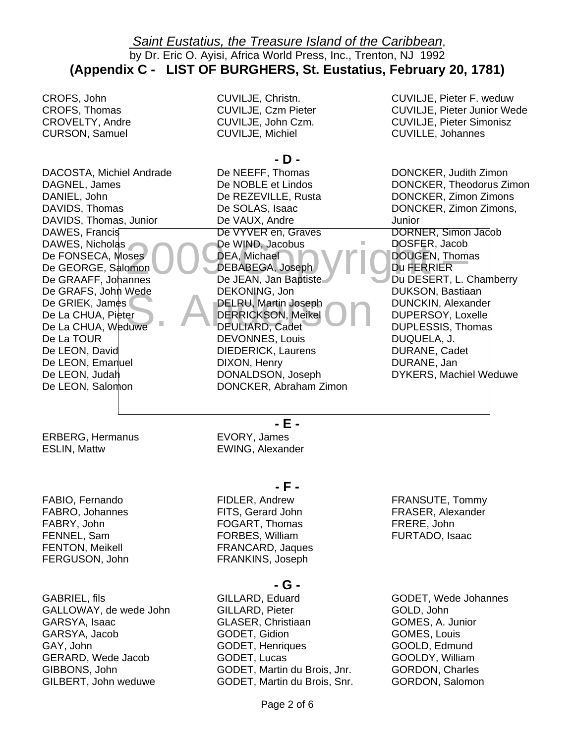CROFS, John CROFS, Thomas CROVELTY, Andre CURSON, Samuel

DACOSTA, Michiel Andrade DAGNEL, James DANIEL, John DAVIDS, Thomas DAVIDS, Thomas, Junior DAWES, Francis DAWES, Nicholas De GEORGE, Salomon De GRAAFF, Johannes De GRAFS, John Wede De GRIEK, James De La CHUA, Weduwe De La TOUR De LEON, David De LEON, Emanuel De LEON, Judah De LEON, Salomon

ERBERG, Hermanus

ESLIN, Mattw

FABIO, Fernando FABRO, Johannes FABRY, John FENNEL, Sam FENTON, Meikell FERGUSON, John CUVILJE, Christn. CUVILJE, Czm Pieter CUVILJE, John Czm. CUVILJE, Michiel

## **- D -**

DAWES, Nicholas<br>De FONSECA, Moses 009 DEA, Michael<br>De GEORGE, Salomon 009 DEBABEGA, Joseph 109<br>De GRAAFF, Johannes De JEAN, Jan Baptiste DERRICKSON, Meikel De WIND, Jacobus<br>
DEA, Michael (DOUGEN, Thomas<br>
DEBABEGA, Joseph (DUCEN, Thomas<br>
Du FERRIER<br>
Du DESERT. L. Cha De GRAFS, John Wede<br>De GRIEK, James<br>De La CHUA, Pieter DERRICKSON, Meikel DERRICKSON, Meikel DERRICKSON, Meikel De NEEFF, Thomas De NOBLE et Lindos De REZEVILLE, Rusta De SOLAS, Isaac De VAUX, Andre De VYVER en, Graves De WIND, Jacobus DEBABEGA, Joseph De JEAN, Jan Baptiste DEKONING, Jon DELRU, Martin Joseph DEULIARD, Cadet DEVONNES, Louis DIEDERICK, Laurens DIXON, Henry DONALDSON, Joseph DONCKER, Abraham Zimon

CUVILJE, Pieter F. weduw CUVILJE, Pieter Junior Wede CUVILJE, Pieter Simonisz CUVILLE, Johannes

DONCKER, Judith Zimon DONCKER, Theodorus Zimon DONCKER, Zimon Zimons DONCKER, Zimon Zimons, Junior DORNER, Simon Jacob DOSFER, Jacob Du FERRIER Du DESERT, L. Chamberry DUKSON, Bastiaan DUNCKIN, Alexander DUPERSOY, Loxelle DUPLESSIS, Thomas DUQUELA, J. DURANE, Cadet DURANE, Jan DYKERS, Machiel Weduwe

**- E -** 

EVORY, James EWING, Alexander

**- F -** 

FIDLER, Andrew FITS, Gerard John FOGART, Thomas FORBES, William FRANCARD, Jaques FRANKINS, Joseph

FRANSUTE, Tommy FRASER, Alexander FRERE, John FURTADO, Isaac

GABRIEL, fils GALLOWAY, de wede John GARSYA, Isaac GARSYA, Jacob GAY, John GERARD, Wede Jacob GIBBONS, John GILBERT, John weduwe

## **- G -**

GILLARD, Eduard GILLARD, Pieter GLASER, Christiaan GODET, Gidion GODET, Henriques GODET, Lucas GODET, Martin du Brois, Jnr. GODET, Martin du Brois, Snr. GODET, Wede Johannes GOLD, John GOMES, A. Junior GOMES, Louis GOOLD, Edmund GOOLDY, William GORDON, Charles GORDON, Salomon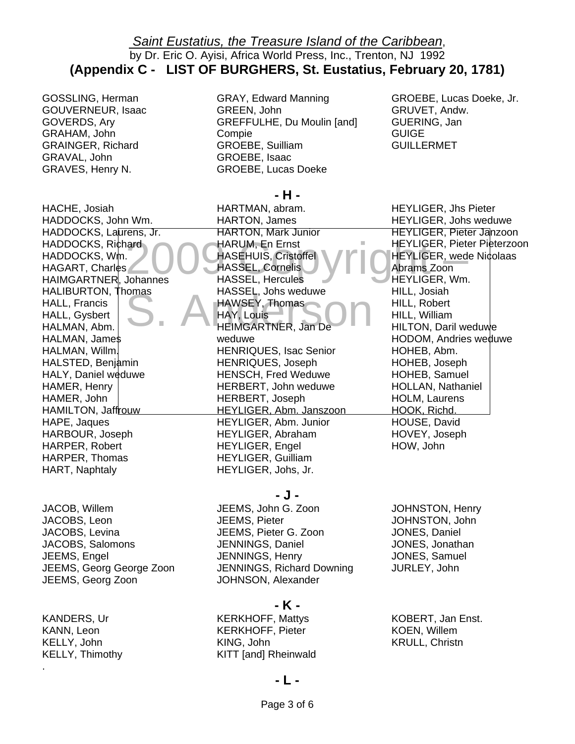GOSSLING, Herman GOUVERNEUR, Isaac GOVERDS, Ary GRAHAM, John GRAINGER, Richard GRAVAL, John GRAVES, Henry N.

GRAY, Edward Manning GREEN, John GREFFULHE, Du Moulin [and] Compie GROEBE, Suilliam GROEBE, Isaac GROEBE, Lucas Doeke

HACHE, Josiah HADDOCKS, John Wm. HADDOCKS, Laurens, Jr. HADDOCKS, Richard HAGART, Charles HAIMGARTNER, Johannes HALIBURTON, Thomas HALL, Francis HALL, Gysbert HALMAN, Abm. HALMAN, James HALMAN, Willm. HALSTED, Benjamin HALY, Daniel weduwe HAMER, Henry HAMER, John HAMILTON, Jaffrouw HAPE, Jaques HARBOUR, Joseph HARPER, Robert HARPER, Thomas HART, Naphtaly

JACOB, Willem JACOBS, Leon JACOBS, Levina JACOBS, Salomons JEEMS, Engel JEEMS, Georg George Zoon JEEMS, Georg Zoon

KANDERS, Ur KANN, Leon KELLY, John KELLY, Thimothy

.

2 HADDOCKS, Wm. 009 yrig MASSEL, Johs weduwe<br>HAWSEY, Thomas<br>HEIMGARTNER, Jan De HARUM, En Ernst – HEYLIGER, Pieter Pieterzoon<br>HASEHUIS, Cristoffel (HEYLIGER, wede Nicolaas<br>HASSEL, Hercules – HEYLIGER, Wm. **- H -**  HARTMAN, abram. HARTON, James HARTON, Mark Junior HARUM, En Ernst HASSEL, Cornelis HASSEL, Hercules HASSEL, Johs weduwe HAWSEY, Thomas HAY, Louis HEIMGARTNER, Jan De weduwe HENRIQUES, Isac Senior HENRIQUES, Joseph HENSCH, Fred Weduwe HERBERT, John weduwe HERBERT, Joseph HEYLIGER, Abm. Janszoon HEYLIGER, Abm. Junior HEYLIGER, Abraham HEYLIGER, Engel HEYLIGER, Guilliam HEYLIGER, Johs, Jr.

GROEBE, Lucas Doeke, Jr. GRUVET, Andw. GUERING, Jan **GUIGE** GUILLERMET

Abrams Zoon HEYLIGER, Jhs Pieter HEYLIGER, Johs weduwe HEYLIGER, Pieter Janzoon HEYLIGER, Pieter Pieterzoon HEYLIGER, Wm. HILL, Josiah HILL, Robert HILL, William HILTON, Daril weduwe HODOM, Andries weduwe HOHEB, Abm. HOHEB, Joseph HOHEB, Samuel HOLLAN, Nathaniel HOLM, Laurens HOOK, Richd. HOUSE, David HOVEY, Joseph HOW, John

**- J -** 

JEEMS, John G. Zoon JEEMS, Pieter JEEMS, Pieter G. Zoon JENNINGS, Daniel JENNINGS, Henry JENNINGS, Richard Downing JOHNSON, Alexander

JOHNSTON, Henry JOHNSTON, John JONES, Daniel JONES, Jonathan JONES, Samuel JURLEY, John

## **- K -**

KERKHOFF, Mattys KERKHOFF, Pieter KING, John KITT [and] Rheinwald KOBERT, Jan Enst. KOEN, Willem KRULL, Christn

#### **- L -**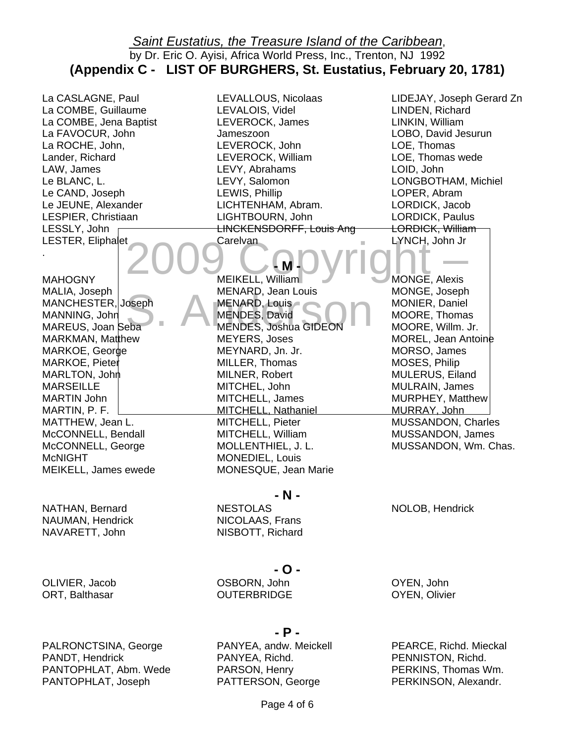La CASLAGNE, Paul La COMBE, Guillaume La COMBE, Jena Baptist La FAVOCUR, John La ROCHE, John, Lander, Richard LAW, James Le BLANC, L. Le CAND, Joseph Le JEUNE, Alexander LESPIER, Christiaan LESSLY, John LESTER, Eliphalet

.

MAHOGNY MALIA, Joseph

MANNING, John MAREUS, Joan Seba MARKMAN, Matthew MARKOE, George MARKOE, Pieter MARLTON, John MARSEILLE MARTIN John MARTIN, P. F. MATTHEW, Jean L. McCONNELL, Bendall McCONNELL, George LEVALLOUS, Nicolaas LEVALOIS, Videl LEVEROCK, James Jameszoon LEVEROCK, John LEVEROCK, William LEVY, Abrahams LEVY, Salomon LEWIS, Phillip LICHTENHAM, Abram. LIGHTBOURN, John LINCKENSDORFF, Louis Ang **Carelvan** 

# **- M -**

MALIA, Joseph<br>MANCHESTER, Joseph MENARD, Louis<br>MANNING, John Seba MENDES, David<br>MAREUS, Joan Seba MENDES, Joshua GIDEON MENARD, Jean Lo<br>MENARD, Louis<br>MENDES, David<br>MENDES, Joshua MEIKELL, William MENARD, Jean Louis MENARD, Louis MENDES, Joshua GIDEON MEYERS, Joses MEYNARD, Jn. Jr. MILLER, Thomas MILNER, Robert MITCHEL, John MITCHELL, James MITCHELL, Nathaniel MITCHELL, Pieter MITCHELL, William MOLLENTHIEL, J. L. MONEDIEL, Louis MONESQUE, Jean Marie

**- N -** 

NESTOLAS

NICOLAAS, Frans NISBOTT, Richard

OSBORN, John OUTERBRIDGE

NATHAN, Bernard NAUMAN, Hendrick NAVARETT, John

MEIKELL, James ewede

McNIGHT

OLIVIER, Jacob ORT, Balthasar

PALRONCTSINA, George PANDT, Hendrick PANTOPHLAT, Abm. Wede PANTOPHLAT, Joseph

### **- P -**

**- O -** 

PANYEA, andw. Meickell PANYEA, Richd. PARSON, Henry PATTERSON, George

OYEN, John OYEN, Olivier

PEARCE, Richd. Mieckal PENNISTON, Richd. PERKINS, Thomas Wm. PERKINSON, Alexandr.

Page 4 of 6

**2009 Carelyan**<br>MEIKELL William **COPYRIGHT** LINKIN, William LOBO, David Jesurun LOE, Thomas LOE, Thomas wede LOID, John LONGBOTHAM, Michiel LOPER, Abram LORDICK, Jacob LORDICK, Paulus LORDICK, William LYNCH, John Jr MONGE, Alexis MONGE, Joseph MONIER, Daniel MOORE, Thomas MOORE, Willm. Jr.

> MOREL, Jean Antoine MORSO, James MOSES, Philip MULERUS, Eiland MULRAIN, James MURPHEY, Matthew MURRAY, John

MUSSANDON, Charles MUSSANDON, James MUSSANDON, Wm. Chas.

NOLOB, Hendrick

LIDEJAY, Joseph Gerard Zn

LINDEN, Richard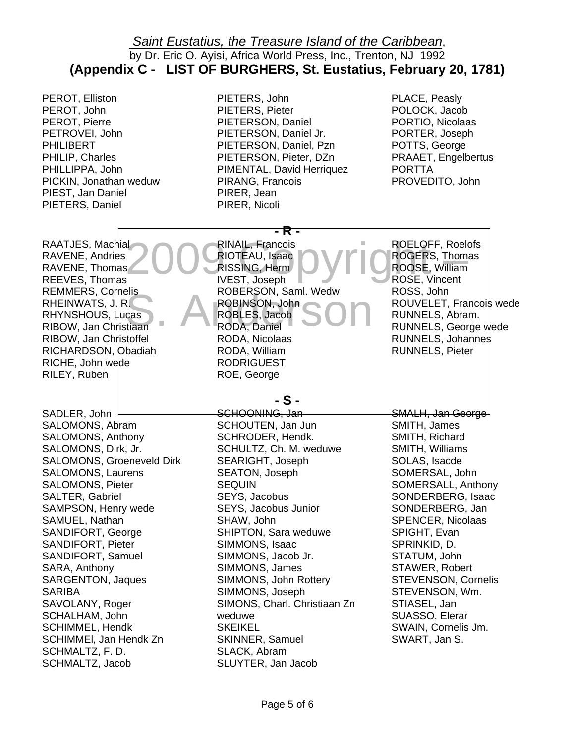PEROT, Elliston PEROT, John PEROT, Pierre PETROVEI, John PHILIBERT PHILIP, Charles PHILLIPPA, John PICKIN, Jonathan weduw PIEST, Jan Daniel PIETERS, Daniel

PIETERS, John PIETERS, Pieter PIETERSON, Daniel PIETERSON, Daniel Jr. PIETERSON, Daniel, Pzn PIETERSON, Pieter, DZn PIMENTAL, David Herriquez PIRANG, Francois PIRER, Jean PIRER, Nicoli

**- R -** 

PLACE, Peasly POLOCK, Jacob PORTIO, Nicolaas PORTER, Joseph POTTS, George PRAAET, Engelbertus PORTTA PROVEDITO, John

ROELOFF, Roelofs

RAATJES, Machial<br>RAVENE, Andries 2000 RIOTEAU, Isaac<br>RAVENE, Thomas 2000 RISSING, Herm<br>REEVES. Thomas IVEST. Joseph ROBERSON, Saml. Wedw<br>ROBINSON, John<br>ROBLES, Jacob<br>RODA, Daniel RINAIL, Francois<br>RIOTEAU, Isaac **Copyright – ROGERS, Thomas**<br>RISSING, Herm – ROGERS, William<br>IVEST, Joseph – ROSE, Vincent REMMERS, Cornelis<br>
RHEINWATS, J. R. ROBINSON, John<br>
RHYNSHOUS, Lucas RIBOW, Jan Christiaan RODA, Daniel RAATJES, Machial RAVENE, Thomas REEVES, Thomas REMMERS, Corhelis RHEINWATS,  $J$ , R. RIBOW, Jan Christiaan RIBOW, Jan Christoffel RICHARDSON, Obadiah RICHE, John wede RILEY, Ruben RINAIL, Francois RISSING, Herm IVEST, Joseph ROBERSON, Saml. Wedw RODA, Daniel RODA, Nicolaas RODA, William RODRIGUEST ROE, George

**- S -** 

SADLER, John SALOMONS, Abram SALOMONS, Anthony SALOMONS, Dirk, Jr. SALOMONS, Groeneveld Dirk SALOMONS, Laurens SALOMONS, Pieter SALTER, Gabriel SAMPSON, Henry wede SAMUEL, Nathan SANDIFORT, George SANDIFORT, Pieter SANDIFORT, Samuel SARA, Anthony SARGENTON, Jaques SARIBA SAVOLANY, Roger SCHALHAM, John SCHIMMEL, Hendk SCHIMMEl, Jan Hendk Zn SCHMALTZ, F. D. SCHMALTZ, Jacob

SCHOONING, Jan SCHOUTEN, Jan Jun SCHRODER, Hendk. SCHULTZ, Ch. M. weduwe SEARIGHT, Joseph SEATON, Joseph SEQUIN SEYS, Jacobus SEYS, Jacobus Junior SHAW, John SHIPTON, Sara weduwe SIMMONS, Isaac SIMMONS, Jacob Jr. SIMMONS, James SIMMONS, John Rottery SIMMONS, Joseph SIMONS, Charl. Christiaan Zn weduwe **SKEIKEL** SKINNER, Samuel SLACK, Abram SLUYTER, Jan Jacob

ROOSE, William ROSE, Vincent ROSS, John ROUVELET, Francois wede RUNNELS, Abram. RUNNELS, George wede RUNNELS, Johannes RUNNELS, Pieter

SMALH, Jan George SMITH, James SMITH, Richard SMITH, Williams SOLAS, Isacde SOMERSAL, John SOMERSALL, Anthony SONDERBERG, Isaac SONDERBERG, Jan SPENCER, Nicolaas SPIGHT, Evan SPRINKID, D. STATUM, John STAWER, Robert STEVENSON, Cornelis STEVENSON, Wm. STIASEL, Jan SUASSO, Elerar SWAIN, Cornelis Jm. SWART, Jan S.